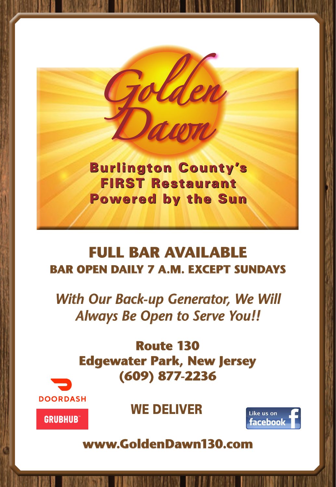

FIRST Restaurant Powered by the Sun Powered by the Sun Sun Sun Sun Sun Burlington County's

### **FULL BAR AVAILABLE BAR OPEN DAILY 7 A.M. EXCEPT SUNDAYS**

*With Our Back-up Generator, We Will Always Be Open to Serve You!!*

> **Route 130 Edgewater Park, New Jersey (609) 877-2236**



**GRUBHUB** 





**www.GoldenDawn130.com**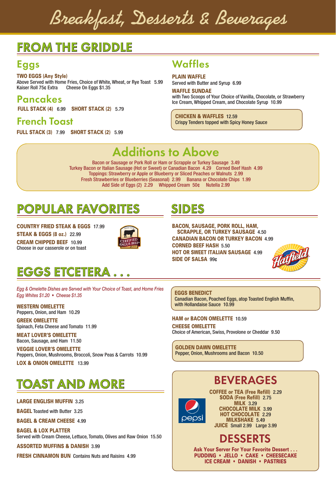**Breakfast, Desserts & Beverages**

### FROM THE GRIDDLE

### Eggs

TWO EGGS (Any Style) Above Served with Home Fries, Choice of White, Wheat, or Rye Toast 5.99<br>Kaiser Roll 75¢ Extra Cheese On Eggs \$1.35 Cheese On Eggs \$1.35

Pancakes

FULL STACK (4)6.99SHORT STACK (2)5.79

French Toast

FULL STACK (3)7.99SHORT STACK (2)5.99

### Waffles

### PLAIN WAFFLE

Served with Butter and Syrup 6.99

#### WAFFLE SUNDAE

with Two Scoops of Your Choice of Vanilla, Chocolate, or Strawberry Ice Cream, Whipped Cream, and Chocolate Syrup 10.99

CHICKEN & WAFFLES 12.59 Crispy Tenders topped with Spicy Honey Sauce

### Additions to Above

Bacon or Sausage or Pork Roll or Ham or Scrapple or Turkey Sausage 3.49 Turkey Bacon or Italian Sausage (Hot or Sweet) or Canadian Bacon 4.29 Corned Beef Hash 4.99 Toppings: Strawberry or Apple or Blueberry or Sliced Peaches or Walnuts 2.99 Fresh Strawberries or Blueberries (Seasonal) 2.99 Banana or Chocolate Chips 1.99 Add Side of Eggs (2) 2.29 Whipped Cream 50¢ Nutella 2.99

### POPULAR FAVORITES

COUNTRY FRIED STEAK & EGGS 17.99 STEAK & EGGS (8 oz.)22.99 CREAM CHIPPED BEEF 10.99 Choose in our casserole or on toast



### EGGS ETCETERA . . .

*Egg & Omelette Dishes are Served with Your Choice of Toast, and Home Fries Egg Whites \$1.20 • Cheese \$1.35*

WESTERN OMELETTE Peppers, Onion, and Ham 10.29

GREEK OMELETTE Spinach, Feta Cheese and Tomato 11.99

MEAT LOVER'S OMELETTE Bacon, Sausage, and Ham 11.50

VEGGIE LOVER'S OMELETTE Peppers, Onion, Mushrooms, Broccoli, Snow Peas & Carrots 10.99

LOX & ONION OMELETTE 13.99

### TOAST AND MORE

### LARGE ENGLISH MUFFIN 3.25

BAGEL Toasted with Butter 3.25

BAGEL & CREAM CHEESE 4.99

BAGEL & LOX PLATTER Served with Cream Cheese, Lettuce, Tomato, Olives and Raw Onion 15.50

ASSORTED MUFFINS & DANISH 3.99

FRESH CINNAMON BUN Contains Nuts and Raisins 4.99

### SIDES

BACON, SAUSAGE, PORK ROLL, HAM, SCRAPPLE, OR TURKEY SAUSAGE 4.50 CANADIAN BACON OR TURKEY BACON 4.99 CORNED BEEF HASH 5.50 HOT OR SWEET ITALIAN SAUSAGE 4.99 SIDE OF SALSA 99¢



#### EGGS BENEDICT

Canadian Bacon, Poached Eggs, atop Toasted English Muffin, with Hollandaise Sauce 10.99

#### HAM or BACON OMELETTE 10.59

CHEESE OMELETTE Choice of American, Swiss, Provolone or Cheddar 9.50

GOLDEN DAWN OMELETTE Pepper, Onion, Mushrooms and Bacon 10.50

### BEVERAGES



COFFEE or TEA (Free Refill) 2.29 SODA (Free Refill) 2.75 **MILK 3.29** CHOCOLATE MILK 3.99 HOT CHOCOLATE 2.29 MILKSHAKE 5.49 JUICE Small 2.99 Large 3.99

### DESSERTS

Ask Your Server For Your Favorite Dessert . . . PUDDING • JELLO • CAKE • CHEESECAKE ICE CREAM • DANISH • PASTRIES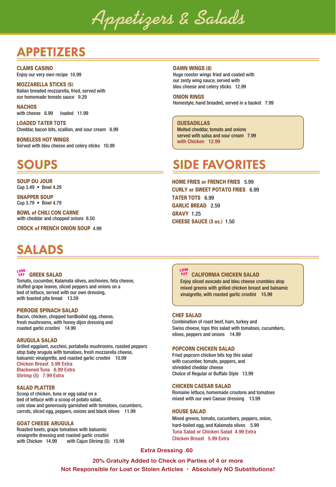**Appetizers & Salads**

### APPETIZERS

CLAMS CASINO Enjoy our very own recipe 10.99

#### MOZZARELLA STICKS (5) Italian breaded mozzarella, fried, served with our homemade tomato sauce 9.29

**NACHOS** with cheese 8.99 loaded 11.99

LOADED TATER TOTS Cheddar, bacon bits, scallion, and sour cream 8.99

BONELESS HOT WINGS Served with bleu cheese and celery sticks 10.99

SOUP DU JOUR Cup 3.49 • Bowl 4.29

SNAPPER SOUP Cup 3.79 • Bowl 4.79

BOWL of CHILI CON CARNE with cheddar and chopped onions 6.50

CROCK of FRENCH ONION SOUP 4.99

### SALADS

#### FAT **GREEK SALAD LOW FAT**

Tomato, cucumber, Kalamata olives, anchovies, feta cheese, stuffed grape leaves, sliced peppers and onions on a bed of lettuce, served with our own dressing, with toasted pita bread 13.59

#### PIEROGIE SPINACH SALAD

Bacon, chicken, chopped hardboiled egg, cheese, fresh mushrooms, with honey dijon dressing and roasted garlic crostini 14.99

#### ARUGULA SALAD

Grilled eggplant, zucchini, portabella mushrooms, roasted peppers atop baby arugula with tomatoes, fresh mozzarella cheese, balsamic vinaigrette, and roasted garlic crostini 10.99 Chicken Breast 5.99 Extra Blackened Tuna 6.99 Extra Shrimp (5) 7.99 Extra

#### SALAD PLATTER

Scoop of chicken, tuna or egg salad on a bed of lettuce with a scoop of potato salad, cole slaw and generously garnished with tomatoes, cucumbers, carrots, sliced egg, peppers, onions and black olives 11.99

#### GOAT CHEESE ARUGULA

Roasted beets, grape tomatoes with balsamic vinaigrette dressing and roasted garlic crostini with Chicken 14.99 with Cajun Shrimp (5) 15.99

### DAWN WINGS (8)

Huge rooster wings fried and coated with our zesty wing sauce, served with bleu cheese and celery sticks 12.99

#### ONION RINGS

Homestyle, hand breaded, served in a basket 7.99

### **QUESADILLAS**

Melted cheddar, tomato and onions served with salsa and sour cream 7.99 with Chicken 12.99

### SOUPS SIDE FAVORITES

HOME FRIES or FRENCH FRIES 5.99 CURLY or SWEET POTATO FRIES 6.99 TATER TOTS 6.99 GARLIC BREAD 2.59 GRAVY 1.25 CHEESE SAUCE (3 oz.) 1.50

#### CALIFORNIA CHICKEN SALAD **LOW FAT**

Enjoy sliced avocado and bleu cheese crumbles atop mixed greens with grilled chicken breast and balsamic vinaigrette, with roasted garlic crostini 15.99

#### CHEF SALAD

Combination of roast beef, ham, turkey and Swiss cheese, tops this salad with tomatoes, cucumbers, olives, peppers and onions 14.99

#### POPCORN CHICKEN SALAD

Fried popcorn chicken bits top this salad with cucumber, tomato, peppers, and shredded cheddar cheese Choice of Regular or Buffalo Style 13.99

#### CHICKEN CAESAR SALAD

Romaine lettuce, homemade croutons and tomatoes mixed with our own Caesar dressing 13.99

#### HOUSE SALAD

Mixed greens, tomato, cucumbers, peppers, onion, hard-boiled egg, and Kalamata olives 5.99 Tuna Salad or Chicken Salad 4.99 Extra Chicken Breast 5.99 Extra

#### **Extra Dressing .60**

**20% Gratuity Added to Check on Parties of 4 or more Not Responsible for Lost or Stolen Articles • Absolutely NO Substitutions!**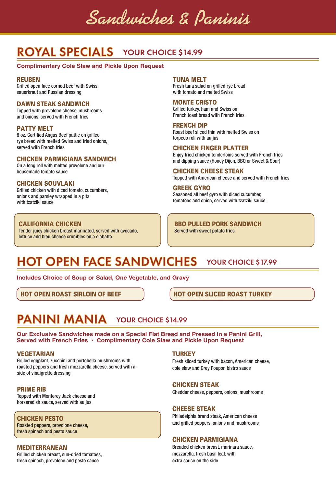**Sandwiches & Paninis**

### ROYAL SPECIALS YOUR CHOICE \$14.99

### **Complimentary Cole Slaw and Pickle Upon Request**

#### REUBEN

Grilled open face corned beef with Swiss, sauerkraut and Russian dressing

### DAWN STEAK SANDWICH

Topped with provolone cheese, mushrooms and onions, served with French fries

### PATTY MELT

8 oz. Certified Angus Beef pattie on grilled rye bread with melted Swiss and fried onions, served with French fries

#### CHICKEN PARMIGIANA SANDWICH

On a long roll with melted provolone and our housemade tomato sauce

### CHICKEN SOUVLAKI

Grilled chicken with diced tomato, cucumbers, onions and parsley wrapped in a pita with tzatziki sauce

### CALIFORNIA CHICKEN

Tender juicy chicken breast marinated, served with avocado, lettuce and bleu cheese crumbles on a ciabatta

TUNA MELT

Fresh tuna salad on grilled rye bread with tomato and melted Swiss

### MONTE CRISTO

Grilled turkey, ham and Swiss on French toast bread with French fries

FRENCH DIP Roast beef sliced thin with melted Swiss on torpedo roll with au jus

#### CHICKEN FINGER PLATTER

Enjoy fried chicken tenderloins served with French fries and dipping sauce (Honey Dijon, BBQ or Sweet & Sour)

CHICKEN CHEESE STEAK Topped with American cheese and served with French fries

### GREEK GYRO

Seasoned all beef gyro with diced cucumber, tomatoes and onion, served with tzatziki sauce

BBQ PULLED PORK SANDWICH Served with sweet potato fries

### HOT OPEN FACE SANDWICHES YOUR CHOICE \$17.99

**Includes Choice of Soup or Salad, One Vegetable, and Gravy**

HOT OPEN ROAST SIRLOIN OF BEEF HOT OPEN SLICED ROAST TURKEY

### PANINI MANIA YOUR CHOICE \$14.99

**Our Exclusive Sandwiches made on a Special Flat Bread and Pressed in a Panini Grill, Served with French Fries • Complimentary Cole Slaw and Pickle Upon Request**

#### VEGETARIAN

Grilled eggplant, zucchini and portobella mushrooms with roasted peppers and fresh mozzarella cheese, served with a side of vinaigrette dressing

### PRIME RIB

Topped with Monterey Jack cheese and horseradish sauce, served with au jus

### CHICKEN PESTO

Roasted peppers, provolone cheese, fresh spinach and pesto sauce

### MEDITERRANEAN

Grilled chicken breast, sun-dried tomatoes, fresh spinach, provolone and pesto sauce

### **TURKEY**

Fresh sliced turkey with bacon, American cheese, cole slaw and Grey Poupon bistro sauce

#### CHICKEN STEAK

Cheddar cheese, peppers, onions, mushrooms

### CHEESE STEAK

Philadelphia brand steak, American cheese and grilled peppers, onions and mushrooms

### CHICKEN PARMIGIANA

Breaded chicken breast, marinara sauce, mozzarella, fresh basil leaf, with extra sauce on the side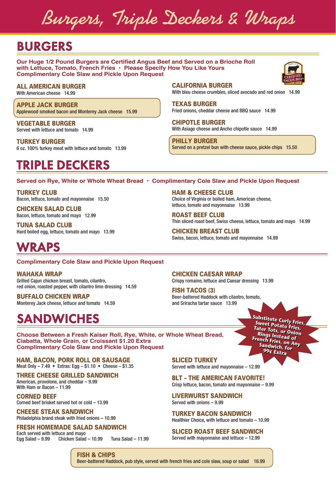**Burgers, Triple Deckers & Wraps**

### BURGERS

**Our Huge 1/2 Pound Burgers are Certified Angus Beef and Served on a Brioche Roll with Lettuce, Tomato, French Fries • Please Specify How You Like Yours Complimentary Cole Slaw and Pickle Upon Request**

### ALL AMERICAN BURGER

With American cheese 14.99

APPLE JACK BURGER Applewood smoked bacon and Monterey Jack cheese 15.99

VEGETABLE BURGER Served with lettuce and tomato 14.99

TURKEY BURGER 6 oz. 100% turkey meat with lettuce and tomato 13.99

### TRIPLE DECKERS

CALIFORNIA BURGER With bleu cheese crumbles, sliced avocado and red onion 14.99

TEXAS BURGER Fried onions, cheddar cheese and BBQ sauce 14.99

CHIPOTLE BURGER With Asiago cheese and Ancho chipotle sauce 14.99

PHILLY BURGER Served on a pretzel bun with cheese sauce, pickle chips 15.50

### **Served on Rye, White or Whole Wheat Bread • Complimentary Cole Slaw and Pickle Upon Request**

TURKEY CLUB Bacon, lettuce, tomato and mayonnaise 15.50

CHICKEN SALAD CLUB Bacon, lettuce, tomato and mayo 12.99

TUNA SALAD CLUB Hard boiled egg, lettuce, tomato and mayo 13.99

HAM & CHEESE CLUB Choice of Virginia or boiled ham, American cheese, lettuce, tomato and mayonnaise 13.99

ROAST BEEF CLUB Thin sliced roast beef, Swiss cheese, lettuce, tomato and mayo 14.99

> **Sweet Potato Fries, Tater Tots, or Onion Rings Instead of French Fries, on Any Sandwich, for 99¢ Extra**

CHICKEN BREAST CLUB Swiss, bacon, lettuce, tomato and mayonnaise 14.99

### WRAPS

**Complimentary Cole Slaw and Pickle Upon Request**

WAHAKA WRAP

Grilled Cajun chicken breast, tomato, cilantro, red onion, roasted pepper, with cilantro lime dressing 14.59

BUFFALO CHICKEN WRAP Monterey Jack cheese, lettuce and tomato 14.59

### **SANDWICHES** *Substitute Curly Fries,*

CHICKEN CAESAR WRAP

Crispy romaine, lettuce and Caesar dressing 13.99

FISH TACOS (3) Beer-battered Haddock with cilantro, tomato, and Sriracha tartar sauce 13.99

**Choose Between a Fresh Kaiser Roll, Rye, White, or Whole Wheat Bread, Ciabatta, Whole Grain, or Croissant \$1.20 Extra Complimentary Cole Slaw and Pickle Upon Request**

HAM, BACON, PORK ROLL OR SAUSAGE Meat Only – 7.49 • Extras: Egg – \$1.10 • Cheese – \$1.35

THREE CHEESE GRILLED SANDWICH American, provolone, and cheddar – 9.99 With Ham or Bacon – 11.99

CORNED BEEF Corned beef brisket served hot or cold – 13.99

CHEESE STEAK SANDWICH Philadelphia brand steak with fried onions – 10.99

FRESH HOMEMADE SALAD SANDWICH

Each served with lettuce and mayo Egg Salad – 9.99 Chicken Salad – 10.99 Tuna Salad – 11.99

SLICED TURKEY Served with lettuce and mayonnaise – 12.99

BLT – THE AMERICAN FAVORITE! Crisp lettuce, bacon, tomato and mayonnaise – 9.99

LIVERWURST SANDWICH Served with onions – 9.99

TURKEY BACON SANDWICH Healthier Choice, with lettuce and tomato – 10.99

SLICED ROAST BEEF SANDWICH

Served with mayonnaise and lettuce – 12.99

FISH & CHIPS Beer-battered Haddock, pub style, served with french fries and cole slaw, soup or salad 16.99